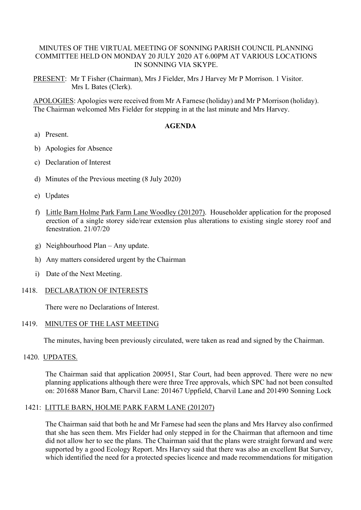## MINUTES OF THE VIRTUAL MEETING OF SONNING PARISH COUNCIL PLANNING COMMITTEE HELD ON MONDAY 20 JULY 2020 AT 6.00PM AT VARIOUS LOCATIONS IN SONNING VIA SKYPE.

PRESENT: Mr T Fisher (Chairman), Mrs J Fielder, Mrs J Harvey Mr P Morrison. 1 Visitor. Mrs L Bates (Clerk).

APOLOGIES: Apologies were received from Mr A Farnese (holiday) and Mr P Morrison (holiday). The Chairman welcomed Mrs Fielder for stepping in at the last minute and Mrs Harvey.

#### **AGENDA**

- a) Present.
- b) Apologies for Absence
- c) Declaration of Interest
- d) Minutes of the Previous meeting (8 July 2020)
- e) Updates
- f) Little Barn Holme Park Farm Lane Woodley (201207). Householder application for the proposed erection of a single storey side/rear extension plus alterations to existing single storey roof and fenestration. 21/07/20
- g) Neighbourhood Plan Any update.
- h) Any matters considered urgent by the Chairman
- i) Date of the Next Meeting.

#### 1418. DECLARATION OF INTERESTS

There were no Declarations of Interest.

#### 1419. MINUTES OF THE LAST MEETING

The minutes, having been previously circulated, were taken as read and signed by the Chairman.

1420. UPDATES.

The Chairman said that application 200951, Star Court, had been approved. There were no new planning applications although there were three Tree approvals, which SPC had not been consulted on: 201688 Manor Barn, Charvil Lane: 201467 Uppfield, Charvil Lane and 201490 Sonning Lock

# 1421: LITTLE BARN, HOLME PARK FARM LANE (201207)

The Chairman said that both he and Mr Farnese had seen the plans and Mrs Harvey also confirmed that she has seen them. Mrs Fielder had only stepped in for the Chairman that afternoon and time did not allow her to see the plans. The Chairman said that the plans were straight forward and were supported by a good Ecology Report. Mrs Harvey said that there was also an excellent Bat Survey, which identified the need for a protected species licence and made recommendations for mitigation